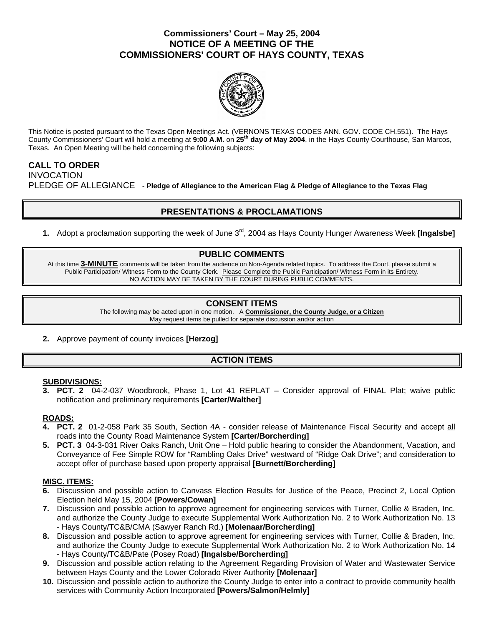## **Commissioners' Court – May 25, 2004 NOTICE OF A MEETING OF THE COMMISSIONERS' COURT OF HAYS COUNTY, TEXAS**



This Notice is posted pursuant to the Texas Open Meetings Act. (VERNONS TEXAS CODES ANN. GOV. CODE CH.551). The Hays County Commissioners' Court will hold a meeting at **9:00 A.M.** on **25th day of May 2004**, in the Hays County Courthouse, San Marcos, Texas. An Open Meeting will be held concerning the following subjects:

## **CALL TO ORDER**  INVOCATION PLEDGE OF ALLEGIANCE - **Pledge of Allegiance to the American Flag & Pledge of Allegiance to the Texas Flag**

# **PRESENTATIONS & PROCLAMATIONS**

**1.** Adopt a proclamation supporting the week of June 3rd, 2004 as Hays County Hunger Awareness Week **[Ingalsbe]** 

### **PUBLIC COMMENTS**

At this time **3-MINUTE** comments will be taken from the audience on Non-Agenda related topics. To address the Court, please submit a Public Participation/ Witness Form to the County Clerk. Please Complete the Public Participation/ Witness Form in its Entirety. NO ACTION MAY BE TAKEN BY THE COURT DURING PUBLIC COMMENTS.

### **CONSENT ITEMS**

The following may be acted upon in one motion. A **Commissioner, the County Judge, or a Citizen** May request items be pulled for separate discussion and/or action

**2.** Approve payment of county invoices **[Herzog]** 

## **ACTION ITEMS**

#### **SUBDIVISIONS:**

**3. PCT. 2** 04-2-037 Woodbrook, Phase 1, Lot 41 REPLAT – Consider approval of FINAL Plat; waive public notification and preliminary requirements **[Carter/Walther]** 

### **ROADS:**

- **4. PCT. 2** 01-2-058 Park 35 South, Section 4A consider release of Maintenance Fiscal Security and accept all roads into the County Road Maintenance System **[Carter/Borcherding]**
- **5. PCT. 3** 04-3-031 River Oaks Ranch, Unit One Hold public hearing to consider the Abandonment, Vacation, and Conveyance of Fee Simple ROW for "Rambling Oaks Drive" westward of "Ridge Oak Drive"; and consideration to accept offer of purchase based upon property appraisal **[Burnett/Borcherding]**

### **MISC. ITEMS:**

- **6.** Discussion and possible action to Canvass Election Results for Justice of the Peace, Precinct 2, Local Option Election held May 15, 2004 **[Powers/Cowan]**
- **7.** Discussion and possible action to approve agreement for engineering services with Turner, Collie & Braden, Inc. and authorize the County Judge to execute Supplemental Work Authorization No. 2 to Work Authorization No. 13 - Hays County/TC&B/CMA (Sawyer Ranch Rd.) **[Molenaar/Borcherding]**
- **8.** Discussion and possible action to approve agreement for engineering services with Turner, Collie & Braden, Inc. and authorize the County Judge to execute Supplemental Work Authorization No. 2 to Work Authorization No. 14 - Hays County/TC&B/Pate (Posey Road) **[Ingalsbe/Borcherding]**
- **9.** Discussion and possible action relating to the Agreement Regarding Provision of Water and Wastewater Service between Hays County and the Lower Colorado River Authority **[Molenaar]**
- **10.** Discussion and possible action to authorize the County Judge to enter into a contract to provide community health services with Community Action Incorporated **[Powers/Salmon/Helmly]**